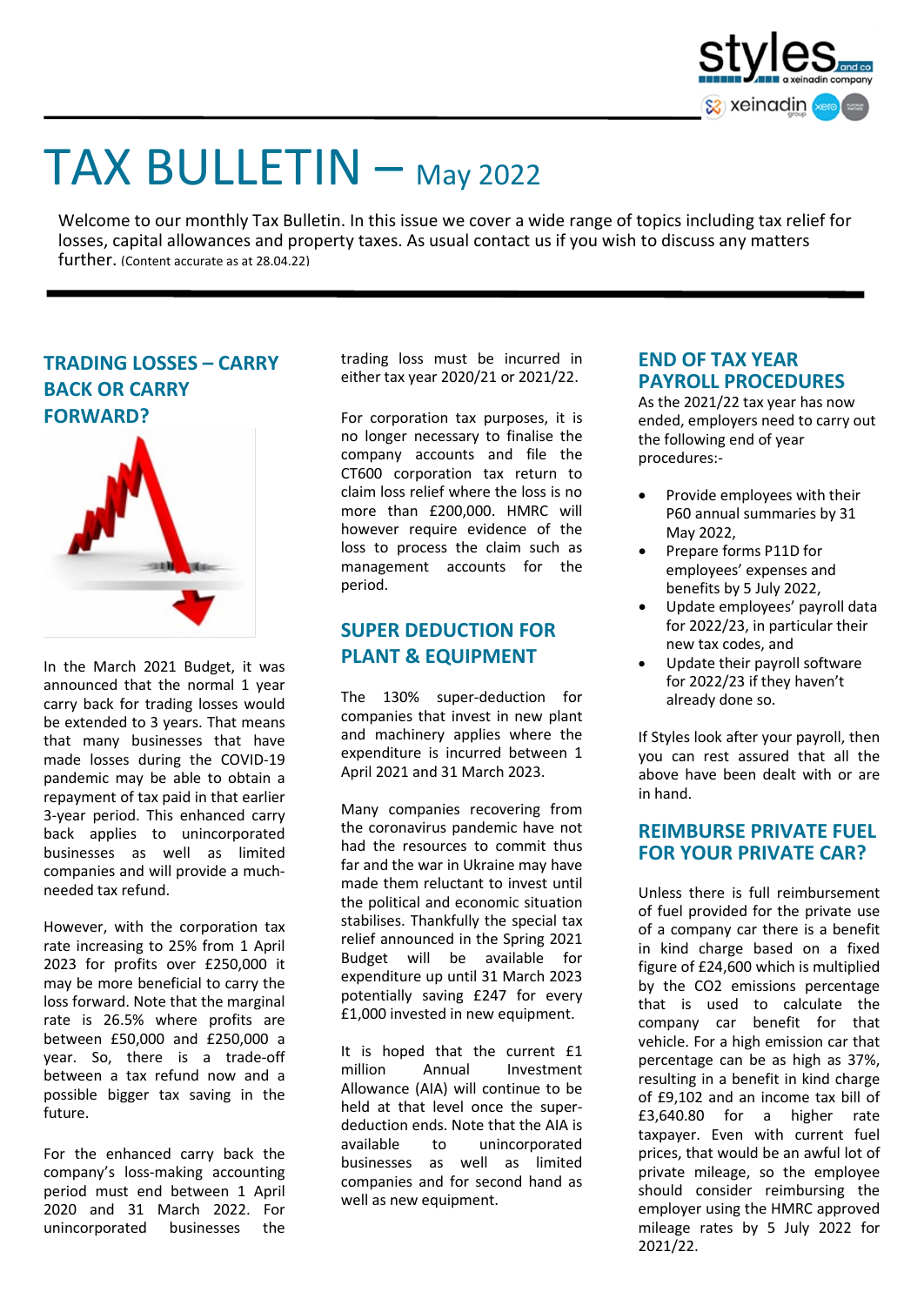

# TAX BULLETIN – May 2022

Welcome to our monthly Tax Bulletin. In this issue we cover a wide range of topics including tax relief for losses, capital allowances and property taxes. As usual contact us if you wish to discuss any matters further. (Content accurate as at 28.04.22)





In the March 2021 Budget, it was announced that the normal 1 year carry back for trading losses would be extended to 3 years. That means that many businesses that have made losses during the COVID-19 pandemic may be able to obtain a repayment of tax paid in that earlier 3-year period. This enhanced carry back applies to unincorporated businesses as well as limited companies and will provide a muchneeded tax refund.

However, with the corporation tax rate increasing to 25% from 1 April 2023 for profits over £250,000 it may be more beneficial to carry the loss forward. Note that the marginal rate is 26.5% where profits are between £50,000 and £250,000 a year. So, there is a trade-off between a tax refund now and a possible bigger tax saving in the future.

For the enhanced carry back the company's loss-making accounting period must end between 1 April 2020 and 31 March 2022. For unincorporated businesses the trading loss must be incurred in either tax year 2020/21 or 2021/22.

For corporation tax purposes, it is no longer necessary to finalise the company accounts and file the CT600 corporation tax return to claim loss relief where the loss is no more than £200,000. HMRC will however require evidence of the loss to process the claim such as management accounts for the period.

## **SUPER DEDUCTION FOR PLANT & EQUIPMENT**

The 130% super-deduction for companies that invest in new plant and machinery applies where the expenditure is incurred between 1 April 2021 and 31 March 2023.

Many companies recovering from the coronavirus pandemic have not had the resources to commit thus far and the war in Ukraine may have made them reluctant to invest until the political and economic situation stabilises. Thankfully the special tax relief announced in the Spring 2021 Budget will be available for expenditure up until 31 March 2023 potentially saving £247 for every £1,000 invested in new equipment.

It is hoped that the current £1 million Annual Investment Allowance (AIA) will continue to be held at that level once the superdeduction ends. Note that the AIA is available to unincorporated businesses as well as limited companies and for second hand as well as new equipment.

#### **END OF TAX YEAR PAYROLL PROCEDURES**

As the 2021/22 tax year has now ended, employers need to carry out the following end of year procedures:-

- Provide employees with their P60 annual summaries by 31 May 2022,
- Prepare forms P11D for employees' expenses and benefits by 5 July 2022,
- Update employees' payroll data for 2022/23, in particular their new tax codes, and
- Update their payroll software for 2022/23 if they haven't already done so.

If Styles look after your payroll, then you can rest assured that all the above have been dealt with or are in hand.

### **REIMBURSE PRIVATE FUEL FOR YOUR PRIVATE CAR?**

Unless there is full reimbursement of fuel provided for the private use of a company car there is a benefit in kind charge based on a fixed figure of £24,600 which is multiplied by the CO2 emissions percentage that is used to calculate the company car benefit for that vehicle. For a high emission car that percentage can be as high as 37%, resulting in a benefit in kind charge of £9,102 and an income tax bill of £3,640.80 for a higher rate taxpayer. Even with current fuel prices, that would be an awful lot of private mileage, so the employee should consider reimbursing the employer using the HMRC approved mileage rates by 5 July 2022 for 2021/22.